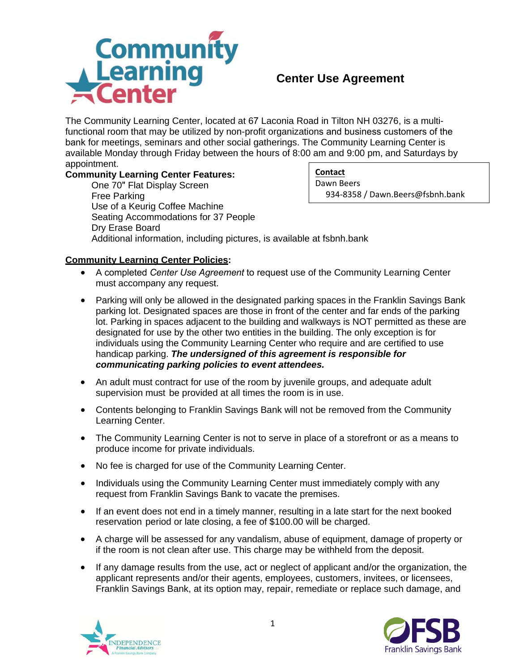

## **Center Use Agreement**

The Community Learning Center, located at 67 Laconia Road in Tilton NH 03276, is a multifunctional room that may be utilized by non-profit organizations and business customers of the bank for meetings, seminars and other social gatherings. The Community Learning Center is available Monday through Friday between the hours of 8:00 am and 9:00 pm, and Saturdays by appointment.

## **Community Learning Center Features:**

One 70" Flat Display Screen Free Parking Use of a Keurig Coffee Machine Dry Erase Board Additional information, including pictures, is available at fsbnh.bank Seating Accommodations for 37 People

**Contact** Dawn Beers 934-8358 / Dawn.Beers@fsbnh.bank

## **Community Learning Center Policies:**

- A completed *Center Use Agreement* to request use of the Community Learning Center must accompany any request.
- Parking will only be allowed in the designated parking spaces in the Franklin Savings Bank parking lot. Designated spaces are those in front of the center and far ends of the parking lot. Parking in spaces adjacent to the building and walkways is NOT permitted as these are designated for use by the other two entities in the building. The only exception is for individuals using the Community Learning Center who require and are certified to use handicap parking. *The undersigned of this agreement is responsible for communicating parking policies to event attendees.*
- An adult must contract for use of the room by juvenile groups, and adequate adult supervision must be provided at all times the room is in use.
- Contents belonging to Franklin Savings Bank will not be removed from the Community Learning Center.
- The Community Learning Center is not to serve in place of a storefront or as a means to produce income for private individuals.
- No fee is charged for use of the Community Learning Center.
- Individuals using the Community Learning Center must immediately comply with any request from Franklin Savings Bank to vacate the premises.
- If an event does not end in a timely manner, resulting in a late start for the next booked reservation period or late closing, a fee of \$100.00 will be charged.
- A charge will be assessed for any vandalism, abuse of equipment, damage of property or if the room is not clean after use. This charge may be withheld from the deposit.
- If any damage results from the use, act or neglect of applicant and/or the organization, the applicant represents and/or their agents, employees, customers, invitees, or licensees, Franklin Savings Bank, at its option may, repair, remediate or replace such damage, and



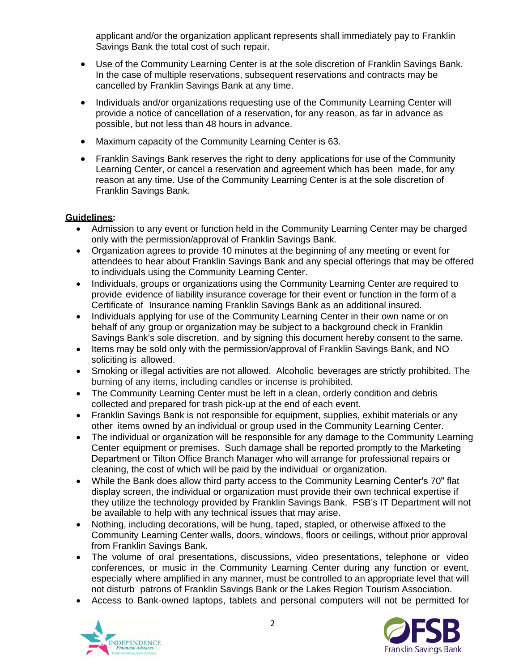applicant and/or the organization applicant represents shall immediately pay to Franklin Savings Bank the total cost of such repair.

- Use of the Community Learning Center is at the sole discretion of Franklin Savings Bank. In the case of multiple reservations, subsequent reservations and contracts may be cancelled by Franklin Savings Bank at any time.
- Individuals and/or organizations requesting use of the Community Learning Center will provide a notice of cancellation of a reservation, for any reason, as far in advance as possible, but not less than 48 hours in advance.
- Maximum capacity of the Community Learning Center is 63.
- Franklin Savings Bank reserves the right to deny applications for use of the Community Learning Center, or cancel a reservation and agreement which has been made, for any reason at any time. Use of the Community Learning Center is at the sole discretion of Franklin Savings Bank.

## **Guidelines:**

- Admission to any event or function held in the Community Learning Center may be charged only with the permission/approval of Franklin Savings Bank.
- Organization agrees to provide 10 minutes at the beginning of any meeting or event for attendees to hear about Franklin Savings Bank and any special offerings that may be offered to individuals using the Community Learning Center.
- Individuals, groups or organizations using the Community Learning Center are required to provide evidence of liability insurance coverage for their event or function in the form of a Certificate of Insurance naming Franklin Savings Bank as an additional insured.
- Individuals applying for use of the Community Learning Center in their own name or on behalf of any group or organization may be subject to a background check in Franklin Savings Bank's sole discretion, and by signing this document hereby consent to the same.
- Items may be sold only with the permission/approval of Franklin Savings Bank, and NO soliciting is allowed.
- Smoking or illegal activities are not allowed. Alcoholic beverages are strictly prohibited*.* The burning of any items, including candles or incense is prohibited.
- The Community Learning Center must be left in a clean, orderly condition and debris collected and prepared for trash pick-up at the end of each event.
- Franklin Savings Bank is not responsible for equipment, supplies, exhibit materials or any other items owned by an individual or group used in the Community Learning Center.
- The individual or organization will be responsible for any damage to the Community Learning Center equipment or premises. Such damage shall be reported promptly to the Marketing Department or Tilton Office Branch Manager who will arrange for professional repairs or cleaning, the cost of which will be paid by the individual or organization.
- While the Bank does allow third party access to the Community Learning Center's 70" flat display screen, the individual or organization must provide their own technical expertise if they utilize the technology provided by Franklin Savings Bank. FSB's IT Department will not be available to help with any technical issues that may arise.
- Nothing, including decorations, will be hung, taped, stapled, or otherwise affixed to the Community Learning Center walls, doors, windows, floors or ceilings, without prior approval from Franklin Savings Bank.
- The volume of oral presentations, discussions, video presentations, telephone or video conferences, or music in the Community Learning Center during any function or event, especially where amplified in any manner, must be controlled to an appropriate level that will not disturb patrons of Franklin Savings Bank or the Lakes Region Tourism Association.
- Access to Bank-owned laptops, tablets and personal computers will not be permitted for